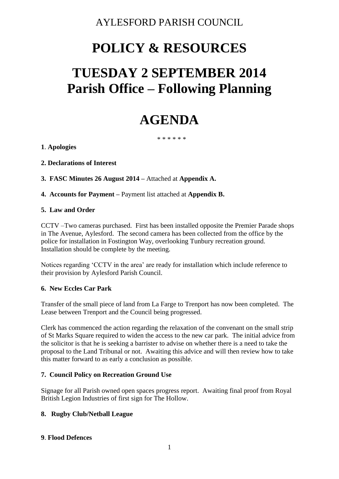# AYLESFORD PARISH COUNCIL

# **POLICY & RESOURCES**

# **TUESDAY 2 SEPTEMBER 2014 Parish Office – Following Planning**

# **AGENDA**

\* \* \* \* \* \*

**1**. **Apologies**

**2. Declarations of Interest**

**3. FASC Minutes 26 August 2014 –** Attached at **Appendix A.**

**4. Accounts for Payment –** Payment list attached at **Appendix B.** 

#### **5. Law and Order**

CCTV –Two cameras purchased. First has been installed opposite the Premier Parade shops in The Avenue, Aylesford. The second camera has been collected from the office by the police for installation in Fostington Way, overlooking Tunbury recreation ground. Installation should be complete by the meeting.

Notices regarding 'CCTV in the area' are ready for installation which include reference to their provision by Aylesford Parish Council.

#### **6. New Eccles Car Park**

Transfer of the small piece of land from La Farge to Trenport has now been completed. The Lease between Trenport and the Council being progressed.

Clerk has commenced the action regarding the relaxation of the convenant on the small strip of St Marks Square required to widen the access to the new car park. The initial advice from the solicitor is that he is seeking a barrister to advise on whether there is a need to take the proposal to the Land Tribunal or not. Awaiting this advice and will then review how to take this matter forward to as early a conclusion as possible.

# **7. Council Policy on Recreation Ground Use**

Signage for all Parish owned open spaces progress report. Awaiting final proof from Royal British Legion Industries of first sign for The Hollow.

# **8. Rugby Club/Netball League**

#### **9**. **Flood Defences**